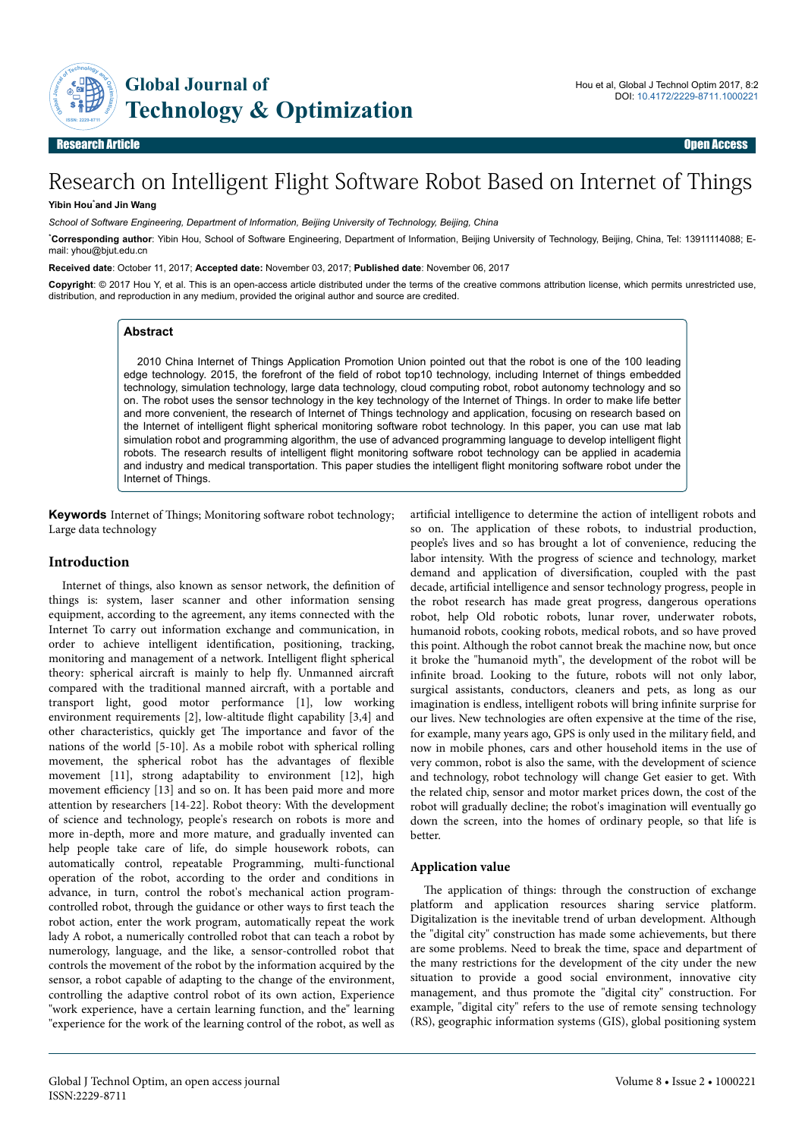

# Research on Intelligent Flight Software Robot Based on Internet of Things

#### **Yibin Hou**\***and Jin Wang**

*School of Software Engineering, Department of Information, Beijing University of Technology, Beijing, China*

\***Corresponding author**: Yibin Hou, School of Software Engineering, Department of Information, Beijing University of Technology, Beijing, China, Tel: 13911114088; Email: yhou@bjut.edu.cn

**Received date**: October 11, 2017; **Accepted date:** November 03, 2017; **Published date**: November 06, 2017

**Copyright**: © 2017 Hou Y, et al. This is an open-access article distributed under the terms of the creative commons attribution license, which permits unrestricted use, distribution, and reproduction in any medium, provided the original author and source are credited.

## **Abstract**

2010 China Internet of Things Application Promotion Union pointed out that the robot is one of the 100 leading edge technology. 2015, the forefront of the field of robot top10 technology, including Internet of things embedded technology, simulation technology, large data technology, cloud computing robot, robot autonomy technology and so on. The robot uses the sensor technology in the key technology of the Internet of Things. In order to make life better and more convenient, the research of Internet of Things technology and application, focusing on research based on the Internet of intelligent flight spherical monitoring software robot technology. In this paper, you can use mat lab simulation robot and programming algorithm, the use of advanced programming language to develop intelligent flight robots. The research results of intelligent flight monitoring software robot technology can be applied in academia and industry and medical transportation. This paper studies the intelligent flight monitoring software robot under the Internet of Things.

**Keywords** Internet of Things; Monitoring software robot technology; Large data technology

#### **Introduction**

Internet of things, also known as sensor network, the definition of things is: system, laser scanner and other information sensing equipment, according to the agreement, any items connected with the Internet To carry out information exchange and communication, in order to achieve intelligent identification, positioning, tracking, monitoring and management of a network. Intelligent flight spherical theory: spherical aircraft is mainly to help fly. Unmanned aircraft compared with the traditional manned aircraft, with a portable and transport light, good motor performance [1], low working environment requirements [2], low-altitude flight capability [3,4] and other characteristics, quickly get Нe importance and favor of the nations of the world [5-10]. As a mobile robot with spherical rolling movement, the spherical robot has the advantages of flexible movement [11], strong adaptability to environment [12], high movement efficiency [13] and so on. It has been paid more and more attention by researchers [14-22]. Robot theory: With the development of science and technology, people's research on robots is more and more in-depth, more and more mature, and gradually invented can help people take care of life, do simple housework robots, can automatically control, repeatable Programming, multi-functional operation of the robot, according to the order and conditions in advance, in turn, control the robot's mechanical action programcontrolled robot, through the guidance or other ways to first teach the robot action, enter the work program, automatically repeat the work lady A robot, a numerically controlled robot that can teach a robot by numerology, language, and the like, a sensor-controlled robot that controls the movement of the robot by the information acquired by the sensor, a robot capable of adapting to the change of the environment, controlling the adaptive control robot of its own action, Experience "work experience, have a certain learning function, and the" learning "experience for the work of the learning control of the robot, as well as

artificial intelligence to determine the action of intelligent robots and so on. Нe application of these robots, to industrial production, people's lives and so has brought a lot of convenience, reducing the labor intensity. With the progress of science and technology, market demand and application of diversification, coupled with the past decade, artificial intelligence and sensor technology progress, people in the robot research has made great progress, dangerous operations robot, help Old robotic robots, lunar rover, underwater robots, humanoid robots, cooking robots, medical robots, and so have proved this point. Although the robot cannot break the machine now, but once it broke the "humanoid myth", the development of the robot will be infinite broad. Looking to the future, robots will not only labor, surgical assistants, conductors, cleaners and pets, as long as our imagination is endless, intelligent robots will bring infinite surprise for our lives. New technologies are often expensive at the time of the rise, for example, many years ago, GPS is only used in the military field, and now in mobile phones, cars and other household items in the use of very common, robot is also the same, with the development of science and technology, robot technology will change Get easier to get. With the related chip, sensor and motor market prices down, the cost of the robot will gradually decline; the robot's imagination will eventually go down the screen, into the homes of ordinary people, so that life is better.

#### **Application value**

The application of things: through the construction of exchange platform and application resources sharing service platform. Digitalization is the inevitable trend of urban development. Although the "digital city" construction has made some achievements, but there are some problems. Need to break the time, space and department of the many restrictions for the development of the city under the new situation to provide a good social environment, innovative city management, and thus promote the "digital city" construction. For example, "digital city" refers to the use of remote sensing technology (RS), geographic information systems (GIS), global positioning system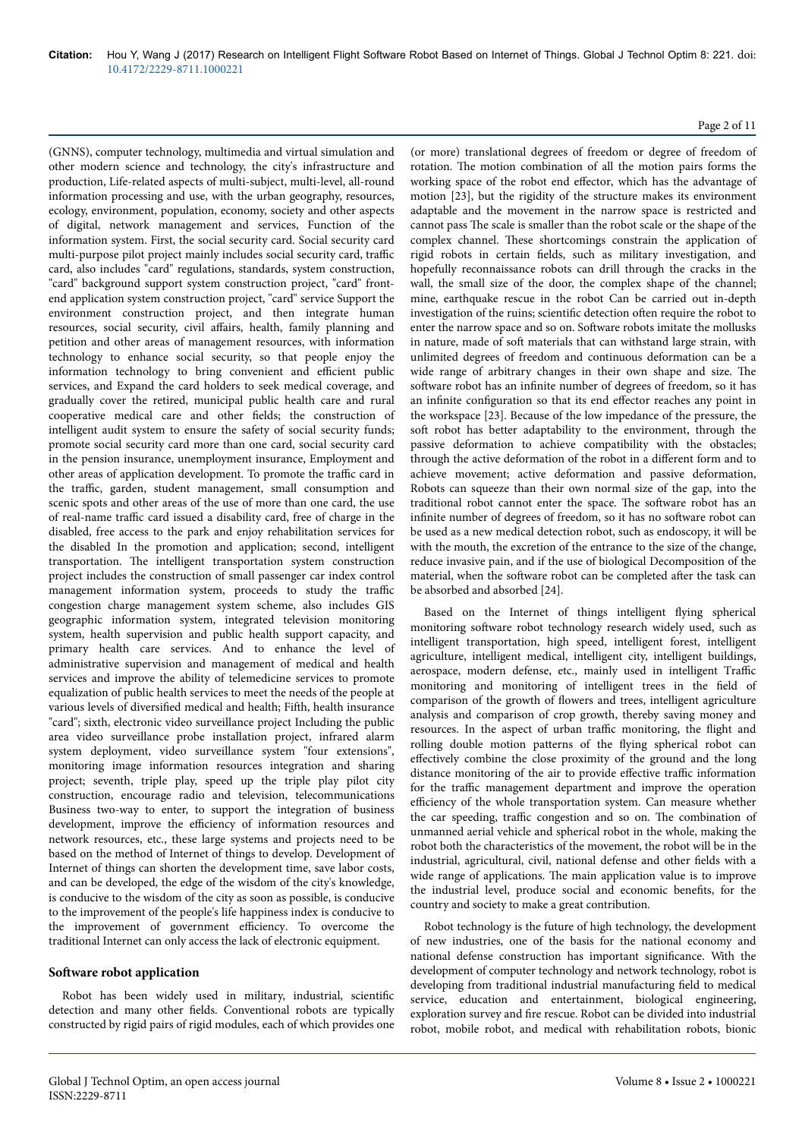(GNNS), computer technology, multimedia and virtual simulation and other modern science and technology, the city's infrastructure and production, Life-related aspects of multi-subject, multi-level, all-round information processing and use, with the urban geography, resources, ecology, environment, population, economy, society and other aspects of digital, network management and services, Function of the information system. First, the social security card. Social security card multi-purpose pilot project mainly includes social security card, traffic card, also includes "card" regulations, standards, system construction, "card" background support system construction project, "card" frontend application system construction project, "card" service Support the environment construction project, and then integrate human resources, social security, civil affairs, health, family planning and petition and other areas of management resources, with information technology to enhance social security, so that people enjoy the information technology to bring convenient and efficient public services, and Expand the card holders to seek medical coverage, and gradually cover the retired, municipal public health care and rural cooperative medical care and other fields; the construction of intelligent audit system to ensure the safety of social security funds; promote social security card more than one card, social security card in the pension insurance, unemployment insurance, Employment and other areas of application development. To promote the traffic card in the traffic, garden, student management, small consumption and scenic spots and other areas of the use of more than one card, the use of real-name traffic card issued a disability card, free of charge in the disabled, free access to the park and enjoy rehabilitation services for the disabled In the promotion and application; second, intelligent transportation. Нe intelligent transportation system construction project includes the construction of small passenger car index control management information system, proceeds to study the traffic congestion charge management system scheme, also includes GIS geographic information system, integrated television monitoring system, health supervision and public health support capacity, and primary health care services. And to enhance the level of administrative supervision and management of medical and health services and improve the ability of telemedicine services to promote equalization of public health services to meet the needs of the people at various levels of diversified medical and health; Fifth, health insurance "card"; sixth, electronic video surveillance project Including the public area video surveillance probe installation project, infrared alarm system deployment, video surveillance system "four extensions", monitoring image information resources integration and sharing project; seventh, triple play, speed up the triple play pilot city construction, encourage radio and television, telecommunications Business two-way to enter, to support the integration of business development, improve the efficiency of information resources and network resources, etc., these large systems and projects need to be based on the method of Internet of things to develop. Development of Internet of things can shorten the development time, save labor costs, and can be developed, the edge of the wisdom of the city's knowledge, is conducive to the wisdom of the city as soon as possible, is conducive to the improvement of the people's life happiness index is conducive to the improvement of government efficiency. To overcome the traditional Internet can only access the lack of electronic equipment.

### **6** Software robot application

Robot has been widely used in military, industrial, scientific detection and many other fields. Conventional robots are typically constructed by rigid pairs of rigid modules, each of which provides one

## Page 2 of 11

(or more) translational degrees of freedom or degree of freedom of rotation. Нe motion combination of all the motion pairs forms the working space of the robot end effector, which has the advantage of motion [23], but the rigidity of the structure makes its environment adaptable and the movement in the narrow space is restricted and cannot pass Нe scale is smaller than the robot scale or the shape of the complex channel. Нese shortcomings constrain the application of rigid robots in certain fields, such as military investigation, and hopefully reconnaissance robots can drill through the cracks in the wall, the small size of the door, the complex shape of the channel; mine, earthquake rescue in the robot Can be carried out in-depth investigation of the ruins; scientific detection often require the robot to enter the narrow space and so on. Software robots imitate the mollusks in nature, made of soft materials that can withstand large strain, with unlimited degrees of freedom and continuous deformation can be a wide range of arbitrary changes in their own shape and size. Нe software robot has an infinite number of degrees of freedom, so it has an infinite configuration so that its end effector reaches any point in the workspace [23]. Because of the low impedance of the pressure, the soft robot has better adaptability to the environment, through the passive deformation to achieve compatibility with the obstacles; through the active deformation of the robot in a different form and to achieve movement; active deformation and passive deformation, Robots can squeeze than their own normal size of the gap, into the traditional robot cannot enter the space. The software robot has an infinite number of degrees of freedom, so it has no software robot can be used as a new medical detection robot, such as endoscopy, it will be with the mouth, the excretion of the entrance to the size of the change, reduce invasive pain, and if the use of biological Decomposition of the material, when the software robot can be completed after the task can be absorbed and absorbed [24].

Based on the Internet of things intelligent flying spherical monitoring software robot technology research widely used, such as intelligent transportation, high speed, intelligent forest, intelligent agriculture, intelligent medical, intelligent city, intelligent buildings, aerospace, modern defense, etc., mainly used in intelligent Traffic monitoring and monitoring of intelligent trees in the field of comparison of the growth of flowers and trees, intelligent agriculture analysis and comparison of crop growth, thereby saving money and resources. In the aspect of urban traffic monitoring, the flight and rolling double motion patterns of the flying spherical robot can effectively combine the close proximity of the ground and the long distance monitoring of the air to provide effective traffic information for the traffic management department and improve the operation efficiency of the whole transportation system. Can measure whether the car speeding, traffic congestion and so on. The combination of unmanned aerial vehicle and spherical robot in the whole, making the robot both the characteristics of the movement, the robot will be in the industrial, agricultural, civil, national defense and other fields with a wide range of applications. Нe main application value is to improve the industrial level, produce social and economic benefits, for the country and society to make a great contribution.

Robot technology is the future of high technology, the development of new industries, one of the basis for the national economy and national defense construction has important significance. With the development of computer technology and network technology, robot is developing from traditional industrial manufacturing field to medical service, education and entertainment, biological engineering, exploration survey and fire rescue. Robot can be divided into industrial robot, mobile robot, and medical with rehabilitation robots, bionic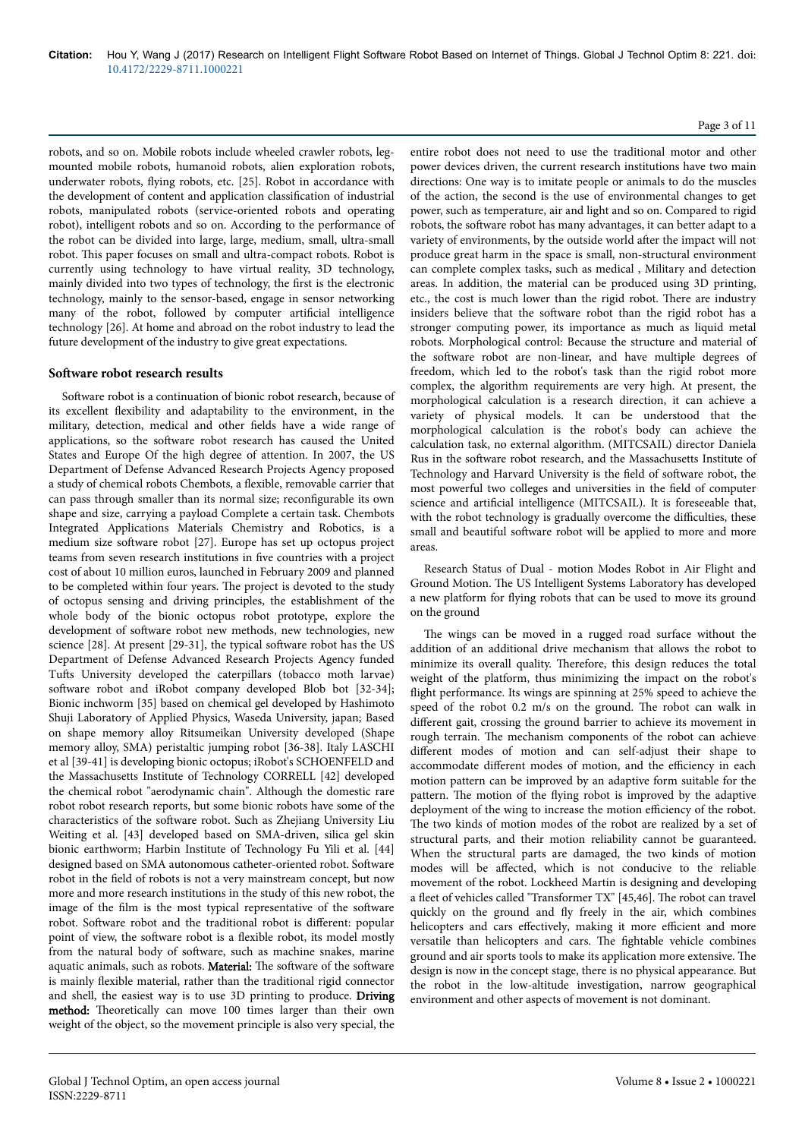robots, and so on. Mobile robots include wheeled crawler robots, legmounted mobile robots, humanoid robots, alien exploration robots, underwater robots, flying robots, etc. [25]. Robot in accordance with the development of content and application classification of industrial robots, manipulated robots (service-oriented robots and operating robot), intelligent robots and so on. According to the performance of the robot can be divided into large, large, medium, small, ultra-small robot. Нis paper focuses on small and ultra-compact robots. Robot is currently using technology to have virtual reality, 3D technology, mainly divided into two types of technology, the first is the electronic technology, mainly to the sensor-based, engage in sensor networking many of the robot, followed by computer artificial intelligence technology [26]. At home and abroad on the robot industry to lead the future development of the industry to give great expectations.

#### **Software robot research results**

Software robot is a continuation of bionic robot research, because of its excellent flexibility and adaptability to the environment, in the military, detection, medical and other fields have a wide range of applications, so the software robot research has caused the United States and Europe Of the high degree of attention. In 2007, the US Department of Defense Advanced Research Projects Agency proposed a study of chemical robots Chembots, a flexible, removable carrier that can pass through smaller than its normal size; reconfigurable its own shape and size, carrying a payload Complete a certain task. Chembots Integrated Applications Materials Chemistry and Robotics, is a medium size software robot [27]. Europe has set up octopus project teams from seven research institutions in five countries with a project cost of about 10 million euros, launched in February 2009 and planned to be completed within four years. Нe project is devoted to the study of octopus sensing and driving principles, the establishment of the whole body of the bionic octopus robot prototype, explore the development of software robot new methods, new technologies, new science [28]. At present [29-31], the typical software robot has the US Department of Defense Advanced Research Projects Agency funded Tufts University developed the caterpillars (tobacco moth larvae) software robot and iRobot company developed Blob bot [32-34]; Bionic inchworm [35] based on chemical gel developed by Hashimoto Shuji Laboratory of Applied Physics, Waseda University, japan; Based on shape memory alloy Ritsumeikan University developed (Shape memory alloy, SMA) peristaltic jumping robot [36-38]. Italy LASCHI et al [39-41] is developing bionic octopus; iRobot's SCHOENFELD and the Massachusetts Institute of Technology CORRELL [42] developed the chemical robot "aerodynamic chain". Although the domestic rare robot robot research reports, but some bionic robots have some of the characteristics of the software robot. Such as Zhejiang University Liu Weiting et al. [43] developed based on SMA-driven, silica gel skin bionic earthworm; Harbin Institute of Technology Fu Yili et al. [44] designed based on SMA autonomous catheter-oriented robot. Software robot in the field of robots is not a very mainstream concept, but now more and more research institutions in the study of this new robot, the image of the film is the most typical representative of the software robot. Software robot and the traditional robot is different: popular point of view, the software robot is a flexible robot, its model mostly from the natural body of software, such as machine snakes, marine aquatic animals, such as robots. Material: The software of the software is mainly flexible material, rather than the traditional rigid connector and shell, the easiest way is to use 3D printing to produce. Driving method: Theoretically can move 100 times larger than their own weight of the object, so the movement principle is also very special, the

### Page 3 of 11

entire robot does not need to use the traditional motor and other power devices driven, the current research institutions have two main directions: One way is to imitate people or animals to do the muscles of the action, the second is the use of environmental changes to get power, such as temperature, air and light and so on. Compared to rigid robots, the software robot has many advantages, it can better adapt to a variety of environments, by the outside world after the impact will not produce great harm in the space is small, non-structural environment can complete complex tasks, such as medical , Military and detection areas. In addition, the material can be produced using 3D printing, etc., the cost is much lower than the rigid robot. Нere are industry insiders believe that the software robot than the rigid robot has a stronger computing power, its importance as much as liquid metal robots. Morphological control: Because the structure and material of the software robot are non-linear, and have multiple degrees of freedom, which led to the robot's task than the rigid robot more complex, the algorithm requirements are very high. At present, the morphological calculation is a research direction, it can achieve a variety of physical models. It can be understood that the morphological calculation is the robot's body can achieve the calculation task, no external algorithm. (MITCSAIL) director Daniela Rus in the software robot research, and the Massachusetts Institute of Technology and Harvard University is the field of software robot, the most powerful two colleges and universities in the field of computer science and artificial intelligence (MITCSAIL). It is foreseeable that, with the robot technology is gradually overcome the difficulties, these small and beautiful software robot will be applied to more and more areas.

Research Status of Dual - motion Modes Robot in Air Flight and Ground Motion. Нe US Intelligent Systems Laboratory has developed a new platform for flying robots that can be used to move its ground on the ground

The wings can be moved in a rugged road surface without the addition of an additional drive mechanism that allows the robot to minimize its overall quality. Нerefore, this design reduces the total weight of the platform, thus minimizing the impact on the robot's flight performance. Its wings are spinning at 25% speed to achieve the speed of the robot 0.2 m/s on the ground. The robot can walk in different gait, crossing the ground barrier to achieve its movement in rough terrain. Нe mechanism components of the robot can achieve different modes of motion and can self-adjust their shape to accommodate different modes of motion, and the efficiency in each motion pattern can be improved by an adaptive form suitable for the pattern. Нe motion of the flying robot is improved by the adaptive deployment of the wing to increase the motion efficiency of the robot. The two kinds of motion modes of the robot are realized by a set of structural parts, and their motion reliability cannot be guaranteed. When the structural parts are damaged, the two kinds of motion modes will be affected, which is not conducive to the reliable movement of the robot. Lockheed Martin is designing and developing a fleet of vehicles called "Transformer TX" [45,46]. Нe robot can travel quickly on the ground and fly freely in the air, which combines helicopters and cars effectively, making it more efficient and more versatile than helicopters and cars. Нe fightable vehicle combines ground and air sports tools to make its application more extensive. Нe design is now in the concept stage, there is no physical appearance. But the robot in the low-altitude investigation, narrow geographical environment and other aspects of movement is not dominant.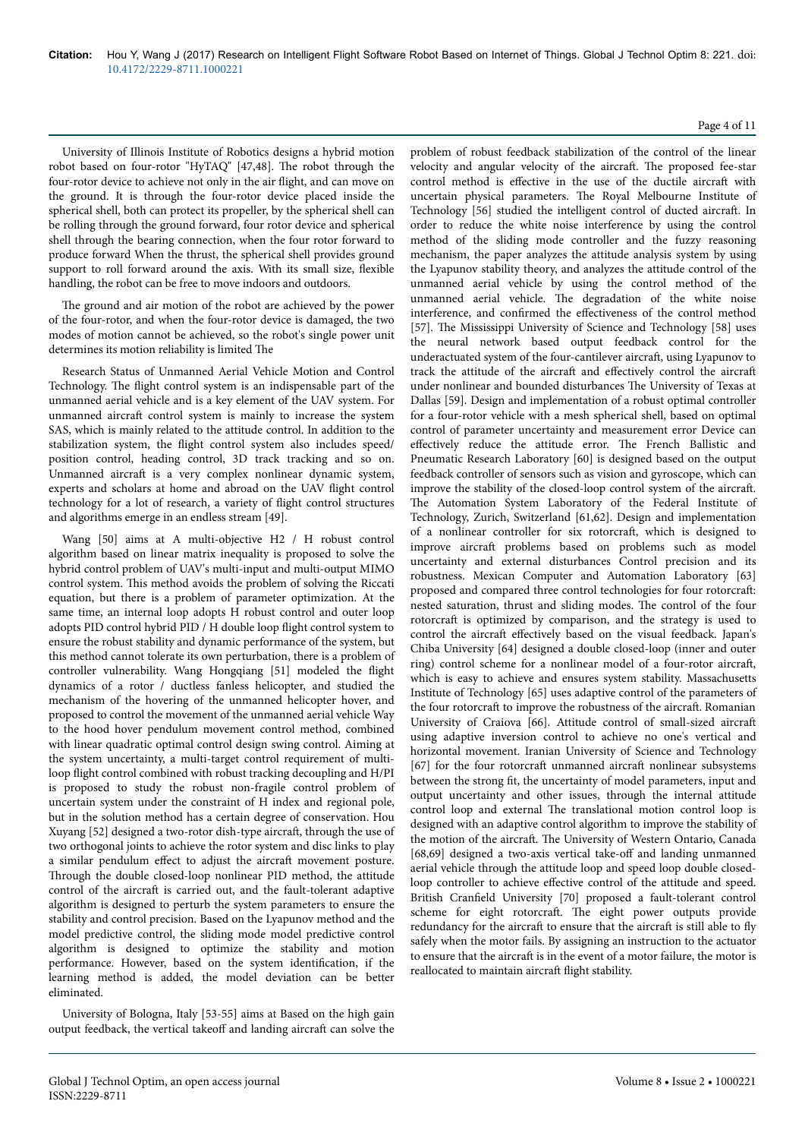University of Illinois Institute of Robotics designs a hybrid motion robot based on four-rotor "HyTAQ" [47,48]. Нe robot through the four-rotor device to achieve not only in the air flight, and can move on the ground. It is through the four-rotor device placed inside the spherical shell, both can protect its propeller, by the spherical shell can be rolling through the ground forward, four rotor device and spherical shell through the bearing connection, when the four rotor forward to produce forward When the thrust, the spherical shell provides ground support to roll forward around the axis. With its small size, flexible handling, the robot can be free to move indoors and outdoors.

The ground and air motion of the robot are achieved by the power of the four-rotor, and when the four-rotor device is damaged, the two modes of motion cannot be achieved, so the robot's single power unit determines its motion reliability is limited Нe

Research Status of Unmanned Aerial Vehicle Motion and Control Technology. Нe flight control system is an indispensable part of the unmanned aerial vehicle and is a key element of the UAV system. For unmanned aircraft control system is mainly to increase the system SAS, which is mainly related to the attitude control. In addition to the stabilization system, the flight control system also includes speed/ position control, heading control, 3D track tracking and so on. Unmanned aircraft is a very complex nonlinear dynamic system, experts and scholars at home and abroad on the UAV flight control technology for a lot of research, a variety of flight control structures and algorithms emerge in an endless stream [49].

Wang [50] aims at A multi-objective H2 / H robust control algorithm based on linear matrix inequality is proposed to solve the hybrid control problem of UAV's multi-input and multi-output MIMO control system. Нis method avoids the problem of solving the Riccati equation, but there is a problem of parameter optimization. At the same time, an internal loop adopts H robust control and outer loop adopts PID control hybrid PID / H double loop flight control system to ensure the robust stability and dynamic performance of the system, but this method cannot tolerate its own perturbation, there is a problem of controller vulnerability. Wang Hongqiang [51] modeled the flight dynamics of a rotor / ductless fanless helicopter, and studied the mechanism of the hovering of the unmanned helicopter hover, and proposed to control the movement of the unmanned aerial vehicle Way to the hood hover pendulum movement control method, combined with linear quadratic optimal control design swing control. Aiming at the system uncertainty, a multi-target control requirement of multiloop flight control combined with robust tracking decoupling and H/PI is proposed to study the robust non-fragile control problem of uncertain system under the constraint of H index and regional pole, but in the solution method has a certain degree of conservation. Hou Xuyang [52] designed a two-rotor dish-type aircraft, through the use of two orthogonal joints to achieve the rotor system and disc links to play a similar pendulum effect to adjust the aircraft movement posture. Through the double closed-loop nonlinear PID method, the attitude control of the aircraft is carried out, and the fault-tolerant adaptive algorithm is designed to perturb the system parameters to ensure the stability and control precision. Based on the Lyapunov method and the model predictive control, the sliding mode model predictive control algorithm is designed to optimize the stability and motion performance. However, based on the system identification, if the learning method is added, the model deviation can be better eliminated.

University of Bologna, Italy [53-55] aims at Based on the high gain output feedback, the vertical takeoff and landing aircraft can solve the problem of robust feedback stabilization of the control of the linear velocity and angular velocity of the aircraft. The proposed fee-star control method is effective in the use of the ductile aircraft with uncertain physical parameters. Нe Royal Melbourne Institute of Technology [56] studied the intelligent control of ducted aircraft. In order to reduce the white noise interference by using the control method of the sliding mode controller and the fuzzy reasoning mechanism, the paper analyzes the attitude analysis system by using the Lyapunov stability theory, and analyzes the attitude control of the unmanned aerial vehicle by using the control method of the unmanned aerial vehicle. Нe degradation of the white noise interference, and confirmed the effectiveness of the control method [57]. The Mississippi University of Science and Technology [58] uses the neural network based output feedback control for the underactuated system of the four-cantilever aircraft, using Lyapunov to track the attitude of the aircraft and effectively control the aircraft under nonlinear and bounded disturbances Нe University of Texas at Dallas [59]. Design and implementation of a robust optimal controller for a four-rotor vehicle with a mesh spherical shell, based on optimal control of parameter uncertainty and measurement error Device can effectively reduce the attitude error. The French Ballistic and Pneumatic Research Laboratory [60] is designed based on the output feedback controller of sensors such as vision and gyroscope, which can improve the stability of the closed-loop control system of the aircraft. The Automation System Laboratory of the Federal Institute of Technology, Zurich, Switzerland [61,62]. Design and implementation of a nonlinear controller for six rotorcraft, which is designed to improve aircraft problems based on problems such as model uncertainty and external disturbances Control precision and its robustness. Mexican Computer and Automation Laboratory [63] proposed and compared three control technologies for four rotorcraft: nested saturation, thrust and sliding modes. Нe control of the four rotorcraft is optimized by comparison, and the strategy is used to control the aircraft effectively based on the visual feedback. Japan's Chiba University [64] designed a double closed-loop (inner and outer ring) control scheme for a nonlinear model of a four-rotor aircraft, which is easy to achieve and ensures system stability. Massachusetts Institute of Technology [65] uses adaptive control of the parameters of the four rotorcraft to improve the robustness of the aircraft. Romanian University of Craiova [66]. Attitude control of small-sized aircraft using adaptive inversion control to achieve no one's vertical and horizontal movement. Iranian University of Science and Technology [67] for the four rotorcraft unmanned aircraft nonlinear subsystems between the strong fit, the uncertainty of model parameters, input and output uncertainty and other issues, through the internal attitude control loop and external Нe translational motion control loop is designed with an adaptive control algorithm to improve the stability of the motion of the aircraft. The University of Western Ontario, Canada [68,69] designed a two-axis vertical take-off and landing unmanned aerial vehicle through the attitude loop and speed loop double closedloop controller to achieve effective control of the attitude and speed. British Cranfield University [70] proposed a fault-tolerant control scheme for eight rotorcraft. The eight power outputs provide redundancy for the aircraft to ensure that the aircraft is still able to fly safely when the motor fails. By assigning an instruction to the actuator to ensure that the aircraft is in the event of a motor failure, the motor is reallocated to maintain aircraft flight stability.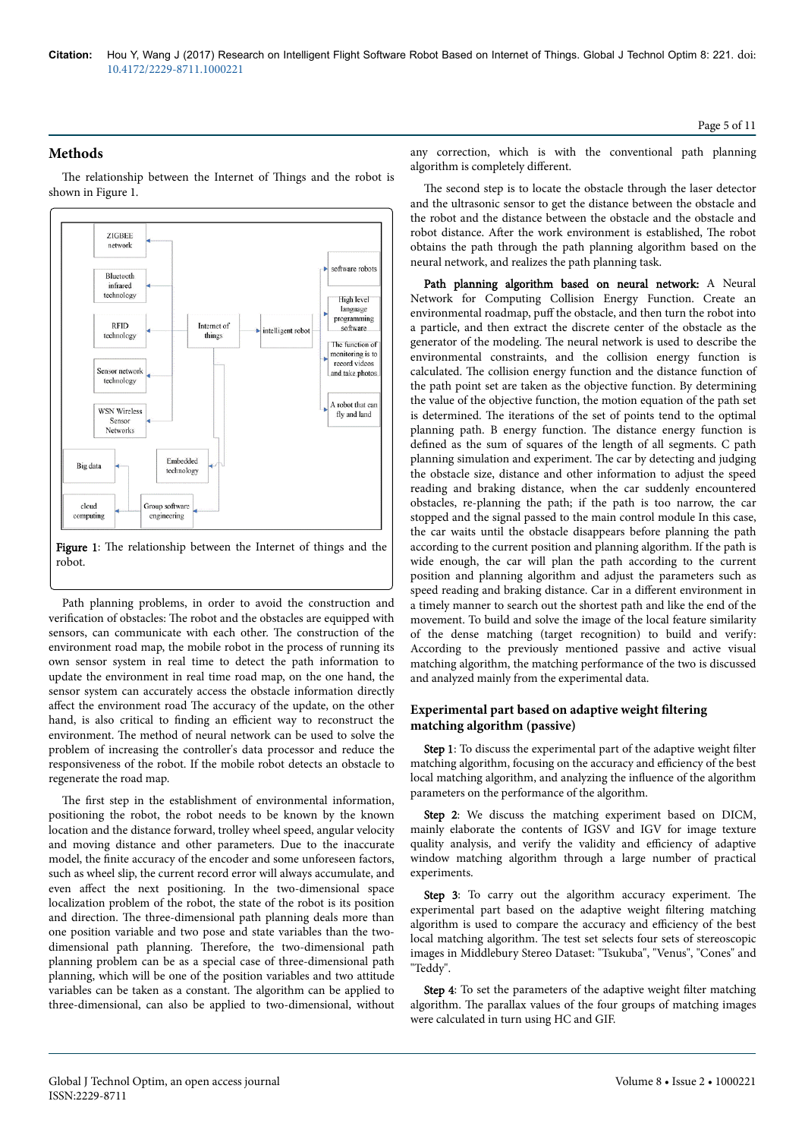**Methods**

The relationship between the Internet of Things and the robot is shown in Figure 1.



Path planning problems, in order to avoid the construction and verification of obstacles: Нe robot and the obstacles are equipped with sensors, can communicate with each other. Нe construction of the environment road map, the mobile robot in the process of running its own sensor system in real time to detect the path information to update the environment in real time road map, on the one hand, the sensor system can accurately access the obstacle information directly affect the environment road The accuracy of the update, on the other hand, is also critical to finding an efficient way to reconstruct the environment. Нe method of neural network can be used to solve the problem of increasing the controller's data processor and reduce the responsiveness of the robot. If the mobile robot detects an obstacle to regenerate the road map.

The first step in the establishment of environmental information, positioning the robot, the robot needs to be known by the known location and the distance forward, trolley wheel speed, angular velocity and moving distance and other parameters. Due to the inaccurate model, the finite accuracy of the encoder and some unforeseen factors, such as wheel slip, the current record error will always accumulate, and even affect the next positioning. In the two-dimensional space localization problem of the robot, the state of the robot is its position and direction. Нe three-dimensional path planning deals more than one position variable and two pose and state variables than the twodimensional path planning. Нerefore, the two-dimensional path planning problem can be as a special case of three-dimensional path planning, which will be one of the position variables and two attitude variables can be taken as a constant. Нe algorithm can be applied to three-dimensional, can also be applied to two-dimensional, without any correction, which is with the conventional path planning algorithm is completely different.

The second step is to locate the obstacle through the laser detector and the ultrasonic sensor to get the distance between the obstacle and the robot and the distance between the obstacle and the obstacle and robot distance. After the work environment is established. The robot obtains the path through the path planning algorithm based on the neural network, and realizes the path planning task.

Path planning algorithm based on neural network: A Neural Network for Computing Collision Energy Function. Create an environmental roadmap, puff the obstacle, and then turn the robot into a particle, and then extract the discrete center of the obstacle as the generator of the modeling. Нe neural network is used to describe the environmental constraints, and the collision energy function is calculated. Нe collision energy function and the distance function of the path point set are taken as the objective function. By determining the value of the objective function, the motion equation of the path set is determined. Нe iterations of the set of points tend to the optimal planning path. B energy function. Нe distance energy function is defined as the sum of squares of the length of all segments. C path planning simulation and experiment. Нe car by detecting and judging the obstacle size, distance and other information to adjust the speed reading and braking distance, when the car suddenly encountered obstacles, re-planning the path; if the path is too narrow, the car stopped and the signal passed to the main control module In this case, the car waits until the obstacle disappears before planning the path according to the current position and planning algorithm. If the path is wide enough, the car will plan the path according to the current position and planning algorithm and adjust the parameters such as speed reading and braking distance. Car in a different environment in a timely manner to search out the shortest path and like the end of the movement. To build and solve the image of the local feature similarity of the dense matching (target recognition) to build and verify: According to the previously mentioned passive and active visual matching algorithm, the matching performance of the two is discussed and analyzed mainly from the experimental data.

# **Experimental part based on adaptive weight filtering matching algorithm (passive)**

Step 1: To discuss the experimental part of the adaptive weight filter matching algorithm, focusing on the accuracy and efficiency of the best local matching algorithm, and analyzing the influence of the algorithm parameters on the performance of the algorithm.

Step 2: We discuss the matching experiment based on DICM, mainly elaborate the contents of IGSV and IGV for image texture quality analysis, and verify the validity and efficiency of adaptive window matching algorithm through a large number of practical experiments.

Step 3: To carry out the algorithm accuracy experiment. The experimental part based on the adaptive weight filtering matching algorithm is used to compare the accuracy and efficiency of the best local matching algorithm. Нe test set selects four sets of stereoscopic images in Middlebury Stereo Dataset: "Tsukuba", "Venus", "Cones" and "Teddy".

Step 4: To set the parameters of the adaptive weight filter matching algorithm. Нe parallax values of the four groups of matching images were calculated in turn using HC and GIF.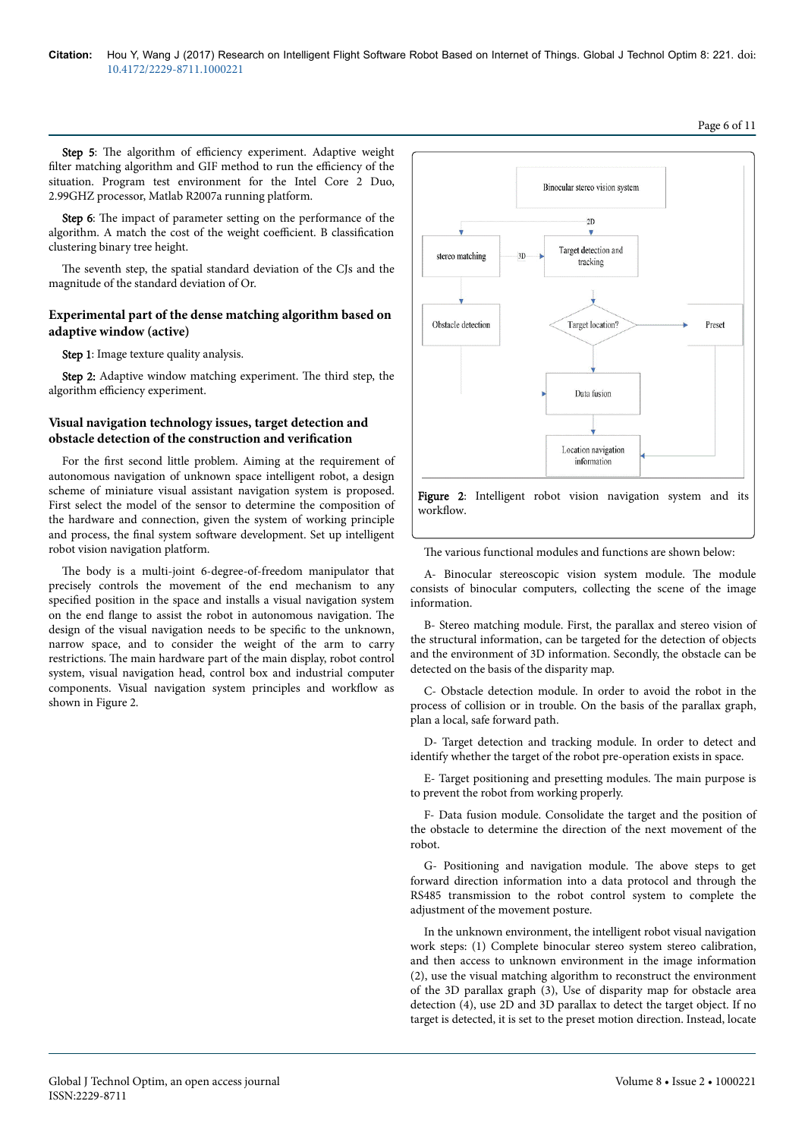Step 5: The algorithm of efficiency experiment. Adaptive weight filter matching algorithm and GIF method to run the efficiency of the situation. Program test environment for the Intel Core 2 Duo, 2.99GHZ processor, Matlab R2007a running platform.

Step 6: The impact of parameter setting on the performance of the algorithm. A match the cost of the weight coefficient. B classification clustering binary tree height.

The seventh step, the spatial standard deviation of the CJs and the magnitude of the standard deviation of Or.

## **Experimental part of the dense matching algorithm based on adaptive window (active)**

Step 1: Image texture quality analysis.

Step 2: Adaptive window matching experiment. The third step, the algorithm efficiency experiment.

# **Visual navigation technology issues, target detection and obstacle detection of the construction and verification**

For the first second little problem. Aiming at the requirement of autonomous navigation of unknown space intelligent robot, a design scheme of miniature visual assistant navigation system is proposed. First select the model of the sensor to determine the composition of the hardware and connection, given the system of working principle and process, the final system software development. Set up intelligent robot vision navigation platform.

The body is a multi-joint 6-degree-of-freedom manipulator that precisely controls the movement of the end mechanism to any specified position in the space and installs a visual navigation system on the end flange to assist the robot in autonomous navigation. Нe design of the visual navigation needs to be specific to the unknown, narrow space, and to consider the weight of the arm to carry restrictions. Нe main hardware part of the main display, robot control system, visual navigation head, control box and industrial computer components. Visual navigation system principles and workflow as shown in Figure 2.



The various functional modules and functions are shown below:

A- Binocular stereoscopic vision system module. Нe module consists of binocular computers, collecting the scene of the image information.

B- Stereo matching module. First, the parallax and stereo vision of the structural information, can be targeted for the detection of objects and the environment of 3D information. Secondly, the obstacle can be detected on the basis of the disparity map.

C- Obstacle detection module. In order to avoid the robot in the process of collision or in trouble. On the basis of the parallax graph, plan a local, safe forward path.

D- Target detection and tracking module. In order to detect and identify whether the target of the robot pre-operation exists in space.

E- Target positioning and presetting modules. Нe main purpose is to prevent the robot from working properly.

F- Data fusion module. Consolidate the target and the position of the obstacle to determine the direction of the next movement of the robot.

G- Positioning and navigation module. Нe above steps to get forward direction information into a data protocol and through the RS485 transmission to the robot control system to complete the adjustment of the movement posture.

In the unknown environment, the intelligent robot visual navigation work steps: (1) Complete binocular stereo system stereo calibration, and then access to unknown environment in the image information (2), use the visual matching algorithm to reconstruct the environment of the 3D parallax graph (3), Use of disparity map for obstacle area detection (4), use 2D and 3D parallax to detect the target object. If no target is detected, it is set to the preset motion direction. Instead, locate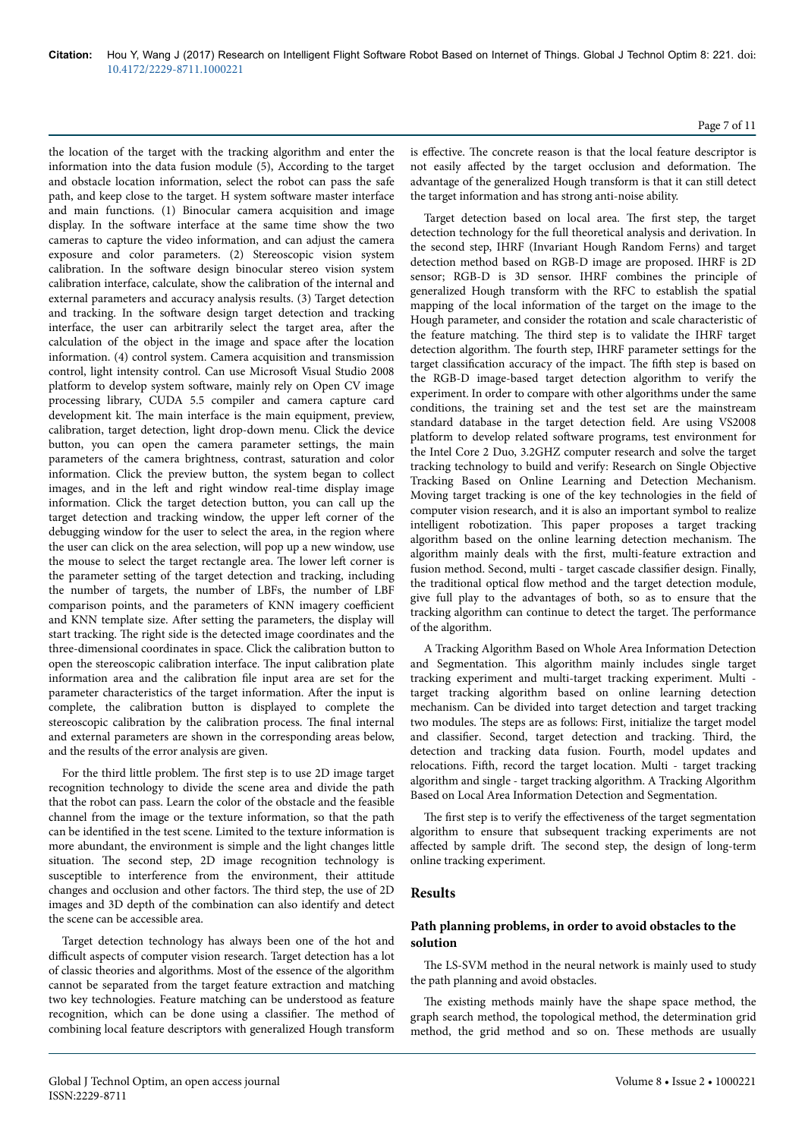the location of the target with the tracking algorithm and enter the information into the data fusion module (5), According to the target and obstacle location information, select the robot can pass the safe path, and keep close to the target. H system software master interface and main functions. (1) Binocular camera acquisition and image display. In the software interface at the same time show the two cameras to capture the video information, and can adjust the camera exposure and color parameters. (2) Stereoscopic vision system calibration. In the software design binocular stereo vision system calibration interface, calculate, show the calibration of the internal and external parameters and accuracy analysis results. (3) Target detection and tracking. In the software design target detection and tracking interface, the user can arbitrarily select the target area, after the calculation of the object in the image and space after the location information. (4) control system. Camera acquisition and transmission control, light intensity control. Can use Microsoft Visual Studio 2008 platform to develop system software, mainly rely on Open CV image processing library, CUDA 5.5 compiler and camera capture card development kit. Нe main interface is the main equipment, preview, calibration, target detection, light drop-down menu. Click the device button, you can open the camera parameter settings, the main parameters of the camera brightness, contrast, saturation and color information. Click the preview button, the system began to collect images, and in the left and right window real-time display image information. Click the target detection button, you can call up the target detection and tracking window, the upper left corner of the debugging window for the user to select the area, in the region where the user can click on the area selection, will pop up a new window, use the mouse to select the target rectangle area. The lower left corner is the parameter setting of the target detection and tracking, including the number of targets, the number of LBFs, the number of LBF comparison points, and the parameters of KNN imagery coefficient and KNN template size. After setting the parameters, the display will start tracking. Нe right side is the detected image coordinates and the three-dimensional coordinates in space. Click the calibration button to open the stereoscopic calibration interface. Нe input calibration plate information area and the calibration file input area are set for the parameter characteristics of the target information. After the input is complete, the calibration button is displayed to complete the stereoscopic calibration by the calibration process. Нe final internal and external parameters are shown in the corresponding areas below, and the results of the error analysis are given.

For the third little problem. Нe first step is to use 2D image target recognition technology to divide the scene area and divide the path that the robot can pass. Learn the color of the obstacle and the feasible channel from the image or the texture information, so that the path can be identified in the test scene. Limited to the texture information is more abundant, the environment is simple and the light changes little situation. Нe second step, 2D image recognition technology is susceptible to interference from the environment, their attitude changes and occlusion and other factors. Нe third step, the use of 2D images and 3D depth of the combination can also identify and detect the scene can be accessible area.

Target detection technology has always been one of the hot and difficult aspects of computer vision research. Target detection has a lot of classic theories and algorithms. Most of the essence of the algorithm cannot be separated from the target feature extraction and matching two key technologies. Feature matching can be understood as feature recognition, which can be done using a classifier. Нe method of combining local feature descriptors with generalized Hough transform

is effective. The concrete reason is that the local feature descriptor is not easily affected by the target occlusion and deformation. The advantage of the generalized Hough transform is that it can still detect the target information and has strong anti-noise ability.

Page 7 of 11

Target detection based on local area. Нe first step, the target detection technology for the full theoretical analysis and derivation. In the second step, IHRF (Invariant Hough Random Ferns) and target detection method based on RGB-D image are proposed. IHRF is 2D sensor; RGB-D is 3D sensor. IHRF combines the principle of generalized Hough transform with the RFC to establish the spatial mapping of the local information of the target on the image to the Hough parameter, and consider the rotation and scale characteristic of the feature matching. Нe third step is to validate the IHRF target detection algorithm. Нe fourth step, IHRF parameter settings for the target classification accuracy of the impact. The fifth step is based on the RGB-D image-based target detection algorithm to verify the experiment. In order to compare with other algorithms under the same conditions, the training set and the test set are the mainstream standard database in the target detection field. Are using VS2008 platform to develop related software programs, test environment for the Intel Core 2 Duo, 3.2GHZ computer research and solve the target tracking technology to build and verify: Research on Single Objective Tracking Based on Online Learning and Detection Mechanism. Moving target tracking is one of the key technologies in the field of computer vision research, and it is also an important symbol to realize intelligent robotization. Нis paper proposes a target tracking algorithm based on the online learning detection mechanism. Нe algorithm mainly deals with the first, multi-feature extraction and fusion method. Second, multi - target cascade classifier design. Finally, the traditional optical flow method and the target detection module, give full play to the advantages of both, so as to ensure that the tracking algorithm can continue to detect the target. Нe performance of the algorithm.

A Tracking Algorithm Based on Whole Area Information Detection and Segmentation. Нis algorithm mainly includes single target tracking experiment and multi-target tracking experiment. Multi target tracking algorithm based on online learning detection mechanism. Can be divided into target detection and target tracking two modules. Нe steps are as follows: First, initialize the target model and classifier. Second, target detection and tracking. Нird, the detection and tracking data fusion. Fourth, model updates and relocations. Fiіh, record the target location. Multi - target tracking algorithm and single - target tracking algorithm. A Tracking Algorithm Based on Local Area Information Detection and Segmentation.

The first step is to verify the effectiveness of the target segmentation algorithm to ensure that subsequent tracking experiments are not affected by sample drift. The second step, the design of long-term online tracking experiment.

### **Results**

## **Path planning problems, in order to avoid obstacles to the solution**

The LS-SVM method in the neural network is mainly used to study the path planning and avoid obstacles.

The existing methods mainly have the shape space method, the graph search method, the topological method, the determination grid method, the grid method and so on. Нese methods are usually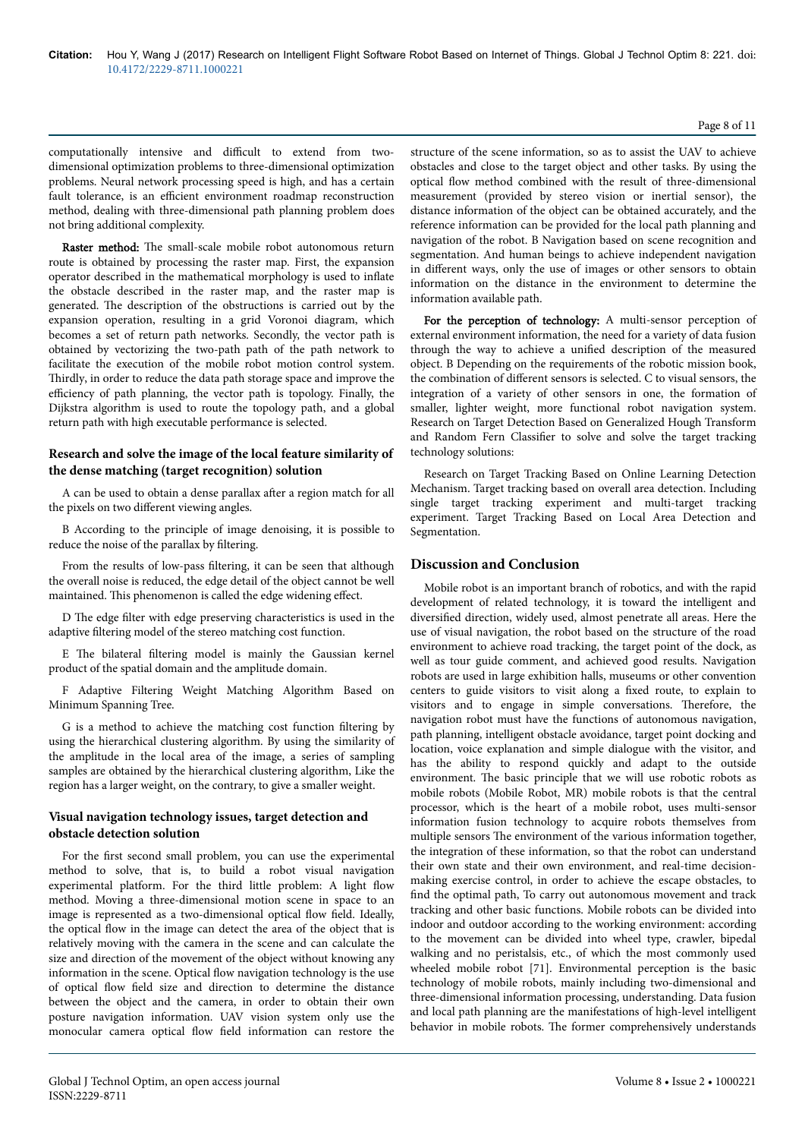### Page 8 of 11

computationally intensive and difficult to extend from twodimensional optimization problems to three-dimensional optimization problems. Neural network processing speed is high, and has a certain fault tolerance, is an efficient environment roadmap reconstruction method, dealing with three-dimensional path planning problem does not bring additional complexity.

Raster method: The small-scale mobile robot autonomous return route is obtained by processing the raster map. First, the expansion operator described in the mathematical morphology is used to inflate the obstacle described in the raster map, and the raster map is generated. Нe description of the obstructions is carried out by the expansion operation, resulting in a grid Voronoi diagram, which becomes a set of return path networks. Secondly, the vector path is obtained by vectorizing the two-path path of the path network to facilitate the execution of the mobile robot motion control system. Thirdly, in order to reduce the data path storage space and improve the efficiency of path planning, the vector path is topology. Finally, the Dijkstra algorithm is used to route the topology path, and a global return path with high executable performance is selected.

## **Research and solve the image of the local feature similarity of the dense matching (target recognition) solution**

A can be used to obtain a dense parallax after a region match for all the pixels on two different viewing angles.

B According to the principle of image denoising, it is possible to reduce the noise of the parallax by filtering.

From the results of low-pass filtering, it can be seen that although the overall noise is reduced, the edge detail of the object cannot be well maintained. This phenomenon is called the edge widening effect.

D Нe edge filter with edge preserving characteristics is used in the adaptive filtering model of the stereo matching cost function.

E Нe bilateral filtering model is mainly the Gaussian kernel product of the spatial domain and the amplitude domain.

F Adaptive Filtering Weight Matching Algorithm Based on Minimum Spanning Tree.

G is a method to achieve the matching cost function filtering by using the hierarchical clustering algorithm. By using the similarity of the amplitude in the local area of the image, a series of sampling samples are obtained by the hierarchical clustering algorithm, Like the region has a larger weight, on the contrary, to give a smaller weight.

## **Visual navigation technology issues, target detection and obstacle detection solution**

For the first second small problem, you can use the experimental method to solve, that is, to build a robot visual navigation experimental platform. For the third little problem: A light flow method. Moving a three-dimensional motion scene in space to an image is represented as a two-dimensional optical flow field. Ideally, the optical flow in the image can detect the area of the object that is relatively moving with the camera in the scene and can calculate the size and direction of the movement of the object without knowing any information in the scene. Optical flow navigation technology is the use of optical flow field size and direction to determine the distance between the object and the camera, in order to obtain their own posture navigation information. UAV vision system only use the monocular camera optical flow field information can restore the

structure of the scene information, so as to assist the UAV to achieve obstacles and close to the target object and other tasks. By using the optical flow method combined with the result of three-dimensional measurement (provided by stereo vision or inertial sensor), the distance information of the object can be obtained accurately, and the reference information can be provided for the local path planning and navigation of the robot. B Navigation based on scene recognition and segmentation. And human beings to achieve independent navigation in different ways, only the use of images or other sensors to obtain information on the distance in the environment to determine the information available path.

For the perception of technology: A multi-sensor perception of external environment information, the need for a variety of data fusion through the way to achieve a unified description of the measured object. B Depending on the requirements of the robotic mission book, the combination of different sensors is selected. C to visual sensors, the integration of a variety of other sensors in one, the formation of smaller, lighter weight, more functional robot navigation system. Research on Target Detection Based on Generalized Hough Transform and Random Fern Classifier to solve and solve the target tracking technology solutions:

Research on Target Tracking Based on Online Learning Detection Mechanism. Target tracking based on overall area detection. Including single target tracking experiment and multi-target tracking experiment. Target Tracking Based on Local Area Detection and Segmentation.

# **Discussion and Conclusion**

Mobile robot is an important branch of robotics, and with the rapid development of related technology, it is toward the intelligent and diversified direction, widely used, almost penetrate all areas. Here the use of visual navigation, the robot based on the structure of the road environment to achieve road tracking, the target point of the dock, as well as tour guide comment, and achieved good results. Navigation robots are used in large exhibition halls, museums or other convention centers to guide visitors to visit along a fixed route, to explain to visitors and to engage in simple conversations. Нerefore, the navigation robot must have the functions of autonomous navigation, path planning, intelligent obstacle avoidance, target point docking and location, voice explanation and simple dialogue with the visitor, and has the ability to respond quickly and adapt to the outside environment. Нe basic principle that we will use robotic robots as mobile robots (Mobile Robot, MR) mobile robots is that the central processor, which is the heart of a mobile robot, uses multi-sensor information fusion technology to acquire robots themselves from multiple sensors The environment of the various information together, the integration of these information, so that the robot can understand their own state and their own environment, and real-time decisionmaking exercise control, in order to achieve the escape obstacles, to find the optimal path, To carry out autonomous movement and track tracking and other basic functions. Mobile robots can be divided into indoor and outdoor according to the working environment: according to the movement can be divided into wheel type, crawler, bipedal walking and no peristalsis, etc., of which the most commonly used wheeled mobile robot [71]. Environmental perception is the basic technology of mobile robots, mainly including two-dimensional and three-dimensional information processing, understanding. Data fusion and local path planning are the manifestations of high-level intelligent behavior in mobile robots. Нe former comprehensively understands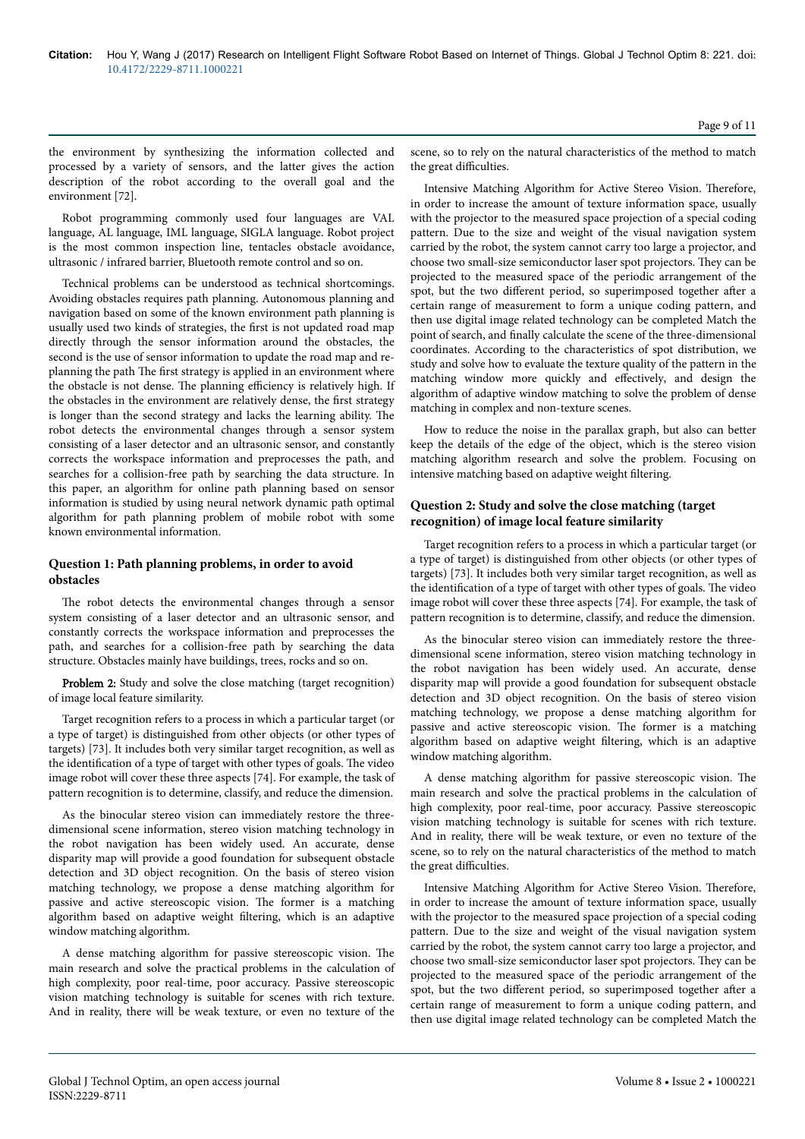the environment by synthesizing the information collected and processed by a variety of sensors, and the latter gives the action description of the robot according to the overall goal and the environment [72].

Robot programming commonly used four languages are VAL language, AL language, IML language, SIGLA language. Robot project is the most common inspection line, tentacles obstacle avoidance, ultrasonic / infrared barrier, Bluetooth remote control and so on.

Technical problems can be understood as technical shortcomings. Avoiding obstacles requires path planning. Autonomous planning and navigation based on some of the known environment path planning is usually used two kinds of strategies, the first is not updated road map directly through the sensor information around the obstacles, the second is the use of sensor information to update the road map and replanning the path Нe first strategy is applied in an environment where the obstacle is not dense. The planning efficiency is relatively high. If the obstacles in the environment are relatively dense, the first strategy is longer than the second strategy and lacks the learning ability. Нe robot detects the environmental changes through a sensor system consisting of a laser detector and an ultrasonic sensor, and constantly corrects the workspace information and preprocesses the path, and searches for a collision-free path by searching the data structure. In this paper, an algorithm for online path planning based on sensor information is studied by using neural network dynamic path optimal algorithm for path planning problem of mobile robot with some known environmental information.

# **Question 1: Path planning problems, in order to avoid obstacles**

The robot detects the environmental changes through a sensor system consisting of a laser detector and an ultrasonic sensor, and constantly corrects the workspace information and preprocesses the path, and searches for a collision-free path by searching the data structure. Obstacles mainly have buildings, trees, rocks and so on.

Problem 2: Study and solve the close matching (target recognition) of image local feature similarity.

Target recognition refers to a process in which a particular target (or a type of target) is distinguished from other objects (or other types of targets) [73]. It includes both very similar target recognition, as well as the identification of a type of target with other types of goals. Нe video image robot will cover these three aspects [74]. For example, the task of pattern recognition is to determine, classify, and reduce the dimension.

As the binocular stereo vision can immediately restore the threedimensional scene information, stereo vision matching technology in the robot navigation has been widely used. An accurate, dense disparity map will provide a good foundation for subsequent obstacle detection and 3D object recognition. On the basis of stereo vision matching technology, we propose a dense matching algorithm for passive and active stereoscopic vision. Нe former is a matching algorithm based on adaptive weight filtering, which is an adaptive window matching algorithm.

A dense matching algorithm for passive stereoscopic vision. Нe main research and solve the practical problems in the calculation of high complexity, poor real-time, poor accuracy. Passive stereoscopic vision matching technology is suitable for scenes with rich texture. And in reality, there will be weak texture, or even no texture of the

scene, so to rely on the natural characteristics of the method to match the great difficulties.

Intensive Matching Algorithm for Active Stereo Vision. Нerefore, in order to increase the amount of texture information space, usually with the projector to the measured space projection of a special coding pattern. Due to the size and weight of the visual navigation system carried by the robot, the system cannot carry too large a projector, and choose two small-size semiconductor laser spot projectors. Нey can be projected to the measured space of the periodic arrangement of the spot, but the two different period, so superimposed together after a certain range of measurement to form a unique coding pattern, and then use digital image related technology can be completed Match the point of search, and finally calculate the scene of the three-dimensional coordinates. According to the characteristics of spot distribution, we study and solve how to evaluate the texture quality of the pattern in the matching window more quickly and effectively, and design the algorithm of adaptive window matching to solve the problem of dense matching in complex and non-texture scenes.

How to reduce the noise in the parallax graph, but also can better keep the details of the edge of the object, which is the stereo vision matching algorithm research and solve the problem. Focusing on intensive matching based on adaptive weight filtering.

# **Question 2: Study and solve the close matching (target recognition) of image local feature similarity**

Target recognition refers to a process in which a particular target (or a type of target) is distinguished from other objects (or other types of targets) [73]. It includes both very similar target recognition, as well as the identification of a type of target with other types of goals. Нe video image robot will cover these three aspects [74]. For example, the task of pattern recognition is to determine, classify, and reduce the dimension.

As the binocular stereo vision can immediately restore the threedimensional scene information, stereo vision matching technology in the robot navigation has been widely used. An accurate, dense disparity map will provide a good foundation for subsequent obstacle detection and 3D object recognition. On the basis of stereo vision matching technology, we propose a dense matching algorithm for passive and active stereoscopic vision. Нe former is a matching algorithm based on adaptive weight filtering, which is an adaptive window matching algorithm.

A dense matching algorithm for passive stereoscopic vision. Нe main research and solve the practical problems in the calculation of high complexity, poor real-time, poor accuracy. Passive stereoscopic vision matching technology is suitable for scenes with rich texture. And in reality, there will be weak texture, or even no texture of the scene, so to rely on the natural characteristics of the method to match the great difficulties.

Intensive Matching Algorithm for Active Stereo Vision. Нerefore, in order to increase the amount of texture information space, usually with the projector to the measured space projection of a special coding pattern. Due to the size and weight of the visual navigation system carried by the robot, the system cannot carry too large a projector, and choose two small-size semiconductor laser spot projectors. Нey can be projected to the measured space of the periodic arrangement of the spot, but the two different period, so superimposed together after a certain range of measurement to form a unique coding pattern, and then use digital image related technology can be completed Match the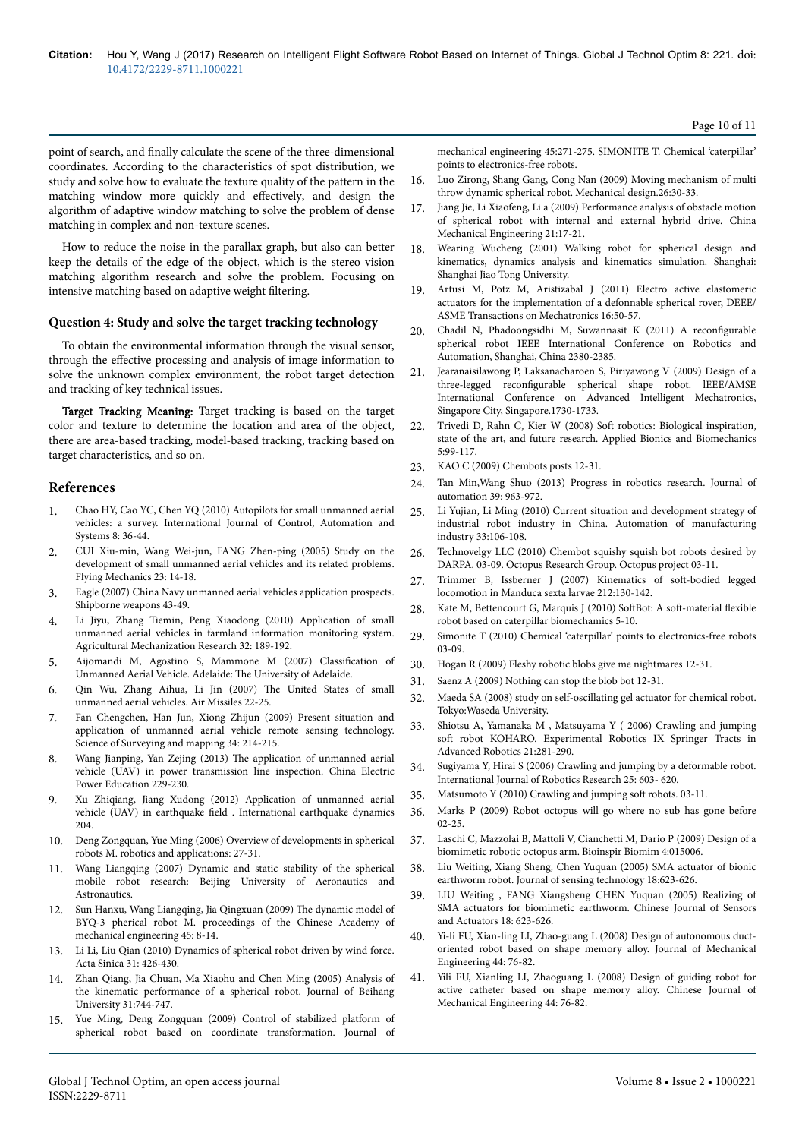point of search, and finally calculate the scene of the three-dimensional coordinates. According to the characteristics of spot distribution, we study and solve how to evaluate the texture quality of the pattern in the matching window more quickly and effectively, and design the algorithm of adaptive window matching to solve the problem of dense matching in complex and non-texture scenes.

How to reduce the noise in the parallax graph, but also can better keep the details of the edge of the object, which is the stereo vision matching algorithm research and solve the problem. Focusing on intensive matching based on adaptive weight filtering.

#### **Question 4: Study and solve the target tracking technology**

To obtain the environmental information through the visual sensor, through the effective processing and analysis of image information to solve the unknown complex environment, the robot target detection and tracking of key technical issues.

Target Tracking Meaning: Target tracking is based on the target color and texture to determine the location and area of the object, there are area-based tracking, model-based tracking, tracking based on target characteristics, and so on.

### **References**

- 1. [Chao HY, Cao YC, Chen YQ \(2010\) Autopilots for small unmanned aerial](https://doi.org/10.1007/s12555-010-0105-z) [vehicles: a survey. International Journal of Control, Automation and](https://doi.org/10.1007/s12555-010-0105-z) [Systems 8: 36-44.](https://doi.org/10.1007/s12555-010-0105-z)
- 2. CUI Xiu-min, Wang Wei-jun, FANG Zhen-ping (2005) Study on the development of small unmanned aerial vehicles and its related problems. Flying Mechanics 23: 14-18.
- 3. Eagle (2007) China Navy unmanned aerial vehicles application prospects. Shipborne weapons 43-49.
- 4. Li Jiyu, Zhang Tiemin, Peng Xiaodong (2010) Application of small unmanned aerial vehicles in farmland information monitoring system. Agricultural Mechanization Research 32: 189-192.
- 5. Aijomandi M, Agostino S, Mammone M (2007) Classification of Unmanned Aerial Vehicle. Adelaide: Нe University of Adelaide.
- 6. Qin Wu, Zhang Aihua, Li Jin (2007) Нe United States of small unmanned aerial vehicles. Air Missiles 22-25.
- 7. Fan Chengchen, Han Jun, Xiong Zhijun (2009) Present situation and application of unmanned aerial vehicle remote sensing technology. Science of Surveying and mapping 34: 214-215.
- 8. Wang Jianping, Yan Zejing (2013) Нe application of unmanned aerial vehicle (UAV) in power transmission line inspection. China Electric Power Education 229-230.
- 9. Xu Zhiqiang, Jiang Xudong (2012) Application of unmanned aerial vehicle (UAV) in earthquake field . International earthquake dynamics 204.
- 10. Deng Zongquan, Yue Ming (2006) Overview of developments in spherical robots M. robotics and applications: 27-31.
- 11. Wang Liangqing (2007) Dynamic and static stability of the spherical mobile robot research: Beijing University of Aeronautics and Astronautics.
- 12. [Sun Hanxu, Wang Liangqing, Jia Qingxuan \(2009\)](https://doi.org/10.3901/jme.2009.10.008) Нe dynamic model of [BYQ-3 pherical robot M. proceedings of the Chinese Academy of](https://doi.org/10.3901/jme.2009.10.008) [mechanical engineering 45: 8-14.](https://doi.org/10.3901/jme.2009.10.008)
- 13. Li Li, Liu Qian (2010) Dynamics of spherical robot driven by wind force. Acta Sinica 31: 426-430.
- 14. Zhan Qiang, Jia Chuan, Ma Xiaohu and Chen Ming (2005) Analysis of the kinematic performance of a spherical robot. Journal of Beihang University 31:744-747.
- 15. [Yue Ming, Deng Zongquan \(2009\) Control of stabilized platform of](https://doi.org/10.3901/jme.2009.05.271) [spherical robot based on coordinate transformation. Journal of](https://doi.org/10.3901/jme.2009.05.271)

[mechanical engineering 45:271-275. SIMONITE T. Chemical 'caterpillar'](https://doi.org/10.3901/jme.2009.05.271) [points to electronics-free robots.](https://doi.org/10.3901/jme.2009.05.271)

- 16. Luo Zirong, Shang Gang, Cong Nan (2009) Moving mechanism of multi throw dynamic spherical robot. Mechanical design.26:30-33.
- 17. Jiang Jie, Li Xiaofeng, Li a (2009) Performance analysis of obstacle motion of spherical robot with internal and external hybrid drive. China Mechanical Engineering 21:17-21.
- 18. Wearing Wucheng (2001) Walking robot for spherical design and kinematics, dynamics analysis and kinematics simulation. Shanghai: Shanghai Jiao Tong University.
- 19. [Artusi M, Potz M, Aristizabal J \(2011\) Electro active elastomeric](https://doi.org/10.1109/tmech.2010.2090163) [actuators for the implementation of a defonnable spherical rover, DEEE/](https://doi.org/10.1109/tmech.2010.2090163) [ASME Transactions on Mechatronics 16:50-57.](https://doi.org/10.1109/tmech.2010.2090163)
- 20. Chadil N, Phadoongsidhi M, Suwannasit K (2011) A reconfigurable spherical robot IEEE International Conference on Robotics and Automation, Shanghai, China 2380-2385.
- 21. [Jearanaisilawong P, Laksanacharoen S, Piriyawong V \(2009\) Design of a](https://doi.org/10.1109/aim.2009.5229805) three-legged reconfigurable [spherical shape robot. lEEE/AMSE](https://doi.org/10.1109/aim.2009.5229805) [International Conference on Advanced Intelligent Mechatronics,](https://doi.org/10.1109/aim.2009.5229805) [Singapore City, Singapore.1730-1733.](https://doi.org/10.1109/aim.2009.5229805)
- 22. [Trivedi D, Rahn C, Kier W \(2008\)](https://doi.org/10.1155/2008/520417) Soft robotics: Biological inspiration, [state of the art, and future research. Applied Bionics and Biomechanics](https://doi.org/10.1155/2008/520417) [5:99-117.](https://doi.org/10.1155/2008/520417)
- 23. KAO C (2009) Chembots posts 12-31.
- 24. Tan Min,Wang Shuo (2013) Progress in robotics research. Journal of automation 39: 963-972.
- 25. Li Yujian, Li Ming (2010) Current situation and development strategy of industrial robot industry in China. Automation of manufacturing industry 33:106-108.
- 26. Technovelgy LLC (2010) Chembot squishy squish bot robots desired by DARPA. 03-09. Octopus Research Group. Octopus project 03-11.
- 27. Trimmer B, Issberner J (2007) Kinematics of soft-bodied legged locomotion in Manduca sexta larvae 212:130-142.
- 28. Kate M, Bettencourt G, Marquis J (2010) SoftBot: A soft-material flexible robot based on caterpillar biomechamics 5-10.
- 29. Simonite T (2010) Chemical 'caterpillar' points to electronics-free robots 03-09.
- 30. Hogan R (2009) Fleshy robotic blobs give me nightmares 12-31.
- 31. Saenz A (2009) Nothing can stop the blob bot 12-31.
- 32. Maeda SA (2008) study on self-oscillating gel actuator for chemical robot. Tokyo:Waseda University.
- 33. Shiotsu A, Yamanaka M , Matsuyama Y ( 2006) Crawling and jumping soft robot KOHARO. Experimental Robotics IX Springer Tracts in Advanced Robotics 21:281-290.
- 34. [Sugiyama Y, Hirai S \(2006\) Crawling and jumping by a deformable robot.](https://doi.org/10.1177/0278364906065386) [International Journal of Robotics Research 25: 603- 620](https://doi.org/10.1177/0278364906065386).
- 35. Matsumoto Y (2010) Crawling and jumping soft robots. 03-11.
- 36. [Marks P \(2009\) Robot octopus will go where no sub has gone before](https://doi.org/10.1016/s0262-4079(09)60783-1) [02-25.](https://doi.org/10.1016/s0262-4079(09)60783-1)
- 37. Laschi C, Mazzolai B, Mattoli V, Cianchetti M, Dario P (2009) Design of a biomimetic robotic octopus arm. Bioinspir Biomim 4:015006.
- 38. Liu Weiting, Xiang Sheng, Chen Yuquan (2005) SMA actuator of bionic earthworm robot. Journal of sensing technology 18:623-626.
- 39. LIU Weiting , FANG Xiangsheng CHEN Yuquan (2005) Realizing of SMA actuators for biomimetic earthworm. Chinese Journal of Sensors and Actuators 18: 623-626.
- 40. Yi-li FU, Xian-ling LI, Zhao-guang L (2008) Design of autonomous ductoriented robot based on shape memory alloy. Journal of Mechanical Engineering 44: 76-82.
- 41. Yili FU, Xianling LI, Zhaoguang L (2008) Design of guiding robot for active catheter based on shape memory alloy. Chinese Journal of Mechanical Engineering 44: 76-82.